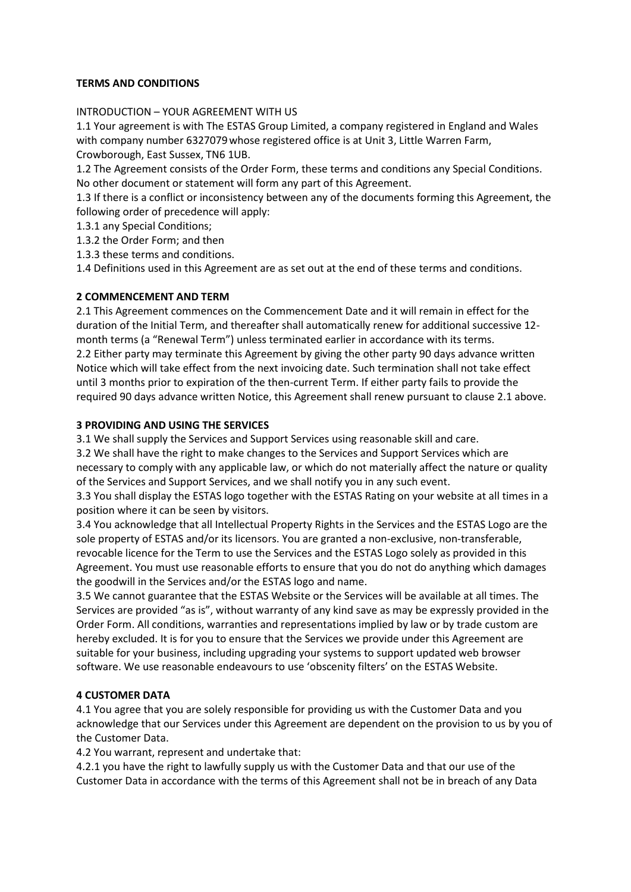### **TERMS AND CONDITIONS**

### INTRODUCTION – YOUR AGREEMENT WITH US

1.1 Your agreement is with The ESTAS Group Limited, a company registered in England and Wales with company number 6327079 whose registered office is at Unit 3, Little Warren Farm, Crowborough, East Sussex, TN6 1UB.

1.2 The Agreement consists of the Order Form, these terms and conditions any Special Conditions. No other document or statement will form any part of this Agreement.

1.3 If there is a conflict or inconsistency between any of the documents forming this Agreement, the following order of precedence will apply:

1.3.1 any Special Conditions;

1.3.2 the Order Form; and then

1.3.3 these terms and conditions.

1.4 Definitions used in this Agreement are as set out at the end of these terms and conditions.

### **2 COMMENCEMENT AND TERM**

2.1 This Agreement commences on the Commencement Date and it will remain in effect for the duration of the Initial Term, and thereafter shall automatically renew for additional successive 12 month terms (a "Renewal Term") unless terminated earlier in accordance with its terms. 2.2 Either party may terminate this Agreement by giving the other party 90 days advance written Notice which will take effect from the next invoicing date. Such termination shall not take effect until 3 months prior to expiration of the then-current Term. If either party fails to provide the required 90 days advance written Notice, this Agreement shall renew pursuant to clause 2.1 above.

### **3 PROVIDING AND USING THE SERVICES**

3.1 We shall supply the Services and Support Services using reasonable skill and care.

3.2 We shall have the right to make changes to the Services and Support Services which are necessary to comply with any applicable law, or which do not materially affect the nature or quality of the Services and Support Services, and we shall notify you in any such event.

3.3 You shall display the ESTAS logo together with the ESTAS Rating on your website at all times in a position where it can be seen by visitors.

3.4 You acknowledge that all Intellectual Property Rights in the Services and the ESTAS Logo are the sole property of ESTAS and/or its licensors. You are granted a non-exclusive, non-transferable, revocable licence for the Term to use the Services and the ESTAS Logo solely as provided in this Agreement. You must use reasonable efforts to ensure that you do not do anything which damages the goodwill in the Services and/or the ESTAS logo and name.

3.5 We cannot guarantee that the ESTAS Website or the Services will be available at all times. The Services are provided "as is", without warranty of any kind save as may be expressly provided in the Order Form. All conditions, warranties and representations implied by law or by trade custom are hereby excluded. It is for you to ensure that the Services we provide under this Agreement are suitable for your business, including upgrading your systems to support updated web browser software. We use reasonable endeavours to use 'obscenity filters' on the ESTAS Website.

## **4 CUSTOMER DATA**

4.1 You agree that you are solely responsible for providing us with the Customer Data and you acknowledge that our Services under this Agreement are dependent on the provision to us by you of the Customer Data.

4.2 You warrant, represent and undertake that:

4.2.1 you have the right to lawfully supply us with the Customer Data and that our use of the Customer Data in accordance with the terms of this Agreement shall not be in breach of any Data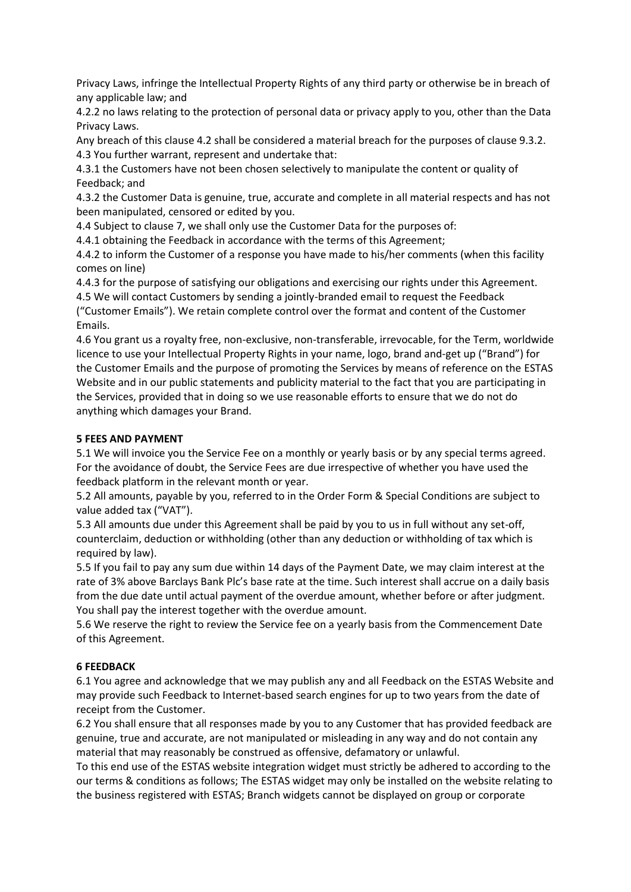Privacy Laws, infringe the Intellectual Property Rights of any third party or otherwise be in breach of any applicable law; and

4.2.2 no laws relating to the protection of personal data or privacy apply to you, other than the Data Privacy Laws.

Any breach of this clause 4.2 shall be considered a material breach for the purposes of clause 9.3.2. 4.3 You further warrant, represent and undertake that:

4.3.1 the Customers have not been chosen selectively to manipulate the content or quality of Feedback; and

4.3.2 the Customer Data is genuine, true, accurate and complete in all material respects and has not been manipulated, censored or edited by you.

4.4 Subject to clause 7, we shall only use the Customer Data for the purposes of:

4.4.1 obtaining the Feedback in accordance with the terms of this Agreement;

4.4.2 to inform the Customer of a response you have made to his/her comments (when this facility comes on line)

4.4.3 for the purpose of satisfying our obligations and exercising our rights under this Agreement.

4.5 We will contact Customers by sending a jointly-branded email to request the Feedback ("Customer Emails"). We retain complete control over the format and content of the Customer Emails.

4.6 You grant us a royalty free, non-exclusive, non-transferable, irrevocable, for the Term, worldwide licence to use your Intellectual Property Rights in your name, logo, brand and-get up ("Brand") for the Customer Emails and the purpose of promoting the Services by means of reference on the ESTAS Website and in our public statements and publicity material to the fact that you are participating in the Services, provided that in doing so we use reasonable efforts to ensure that we do not do anything which damages your Brand.

#### **5 FEES AND PAYMENT**

5.1 We will invoice you the Service Fee on a monthly or yearly basis or by any special terms agreed. For the avoidance of doubt, the Service Fees are due irrespective of whether you have used the feedback platform in the relevant month or year.

5.2 All amounts, payable by you, referred to in the Order Form & Special Conditions are subject to value added tax ("VAT").

5.3 All amounts due under this Agreement shall be paid by you to us in full without any set-off, counterclaim, deduction or withholding (other than any deduction or withholding of tax which is required by law).

5.5 If you fail to pay any sum due within 14 days of the Payment Date, we may claim interest at the rate of 3% above Barclays Bank Plc's base rate at the time. Such interest shall accrue on a daily basis from the due date until actual payment of the overdue amount, whether before or after judgment. You shall pay the interest together with the overdue amount.

5.6 We reserve the right to review the Service fee on a yearly basis from the Commencement Date of this Agreement.

#### **6 FEEDBACK**

6.1 You agree and acknowledge that we may publish any and all Feedback on the ESTAS Website and may provide such Feedback to Internet-based search engines for up to two years from the date of receipt from the Customer.

6.2 You shall ensure that all responses made by you to any Customer that has provided feedback are genuine, true and accurate, are not manipulated or misleading in any way and do not contain any material that may reasonably be construed as offensive, defamatory or unlawful.

To this end use of the ESTAS website integration widget must strictly be adhered to according to the our terms & conditions as follows; The ESTAS widget may only be installed on the website relating to the business registered with ESTAS; Branch widgets cannot be displayed on group or corporate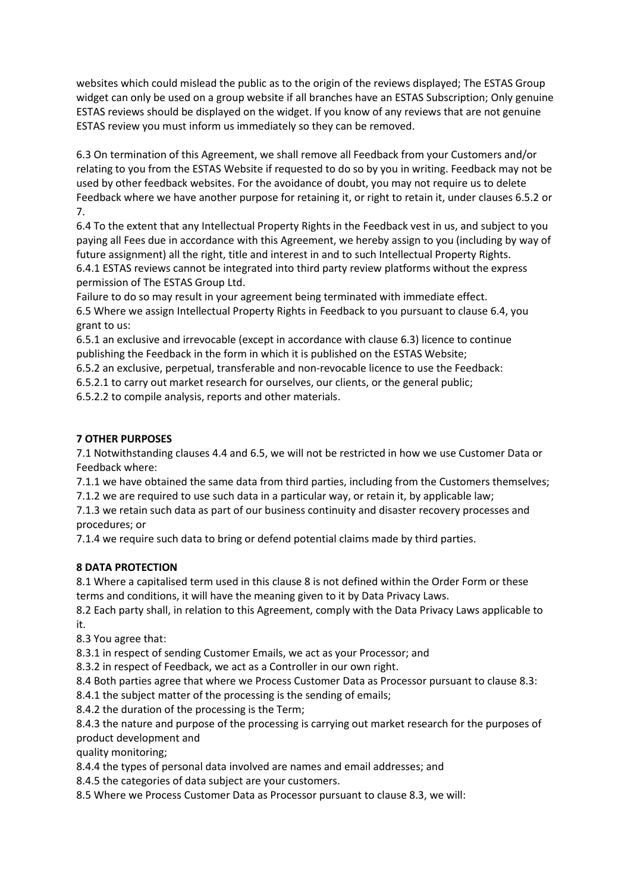websites which could mislead the public as to the origin of the reviews displayed; The ESTAS Group widget can only be used on a group website if all branches have an ESTAS Subscription; Only genuine ESTAS reviews should be displayed on the widget. If you know of any reviews that are not genuine ESTAS review you must inform us immediately so they can be removed.

6.3 On termination of this Agreement, we shall remove all Feedback from your Customers and/or relating to you from the ESTAS Website if requested to do so by you in writing. Feedback may not be used by other feedback websites. For the avoidance of doubt, you may not require us to delete Feedback where we have another purpose for retaining it, or right to retain it, under clauses 6.5.2 or 7.

6.4 To the extent that any Intellectual Property Rights in the Feedback vest in us, and subject to you paying all Fees due in accordance with this Agreement, we hereby assign to you (including by way of future assignment) all the right, title and interest in and to such Intellectual Property Rights. 6.4.1 ESTAS reviews cannot be integrated into third party review platforms without the express permission of The ESTAS Group Ltd.

Failure to do so may result in your agreement being terminated with immediate effect. 6.5 Where we assign Intellectual Property Rights in Feedback to you pursuant to clause 6.4, you grant to us:

6.5.1 an exclusive and irrevocable (except in accordance with clause 6.3) licence to continue publishing the Feedback in the form in which it is published on the ESTAS Website;

6.5.2 an exclusive, perpetual, transferable and non-revocable licence to use the Feedback:

6.5.2.1 to carry out market research for ourselves, our clients, or the general public;

6.5.2.2 to compile analysis, reports and other materials.

# **7 OTHER PURPOSES**

7.1 Notwithstanding clauses 4.4 and 6.5, we will not be restricted in how we use Customer Data or Feedback where:

7.1.1 we have obtained the same data from third parties, including from the Customers themselves; 7.1.2 we are required to use such data in a particular way, or retain it, by applicable law;

7.1.3 we retain such data as part of our business continuity and disaster recovery processes and procedures; or

7.1.4 we require such data to bring or defend potential claims made by third parties.

# **8 DATA PROTECTION**

8.1 Where a capitalised term used in this clause 8 is not defined within the Order Form or these terms and conditions, it will have the meaning given to it by Data Privacy Laws.

8.2 Each party shall, in relation to this Agreement, comply with the Data Privacy Laws applicable to it.

8.3 You agree that:

8.3.1 in respect of sending Customer Emails, we act as your Processor; and

8.3.2 in respect of Feedback, we act as a Controller in our own right.

8.4 Both parties agree that where we Process Customer Data as Processor pursuant to clause 8.3:

8.4.1 the subject matter of the processing is the sending of emails;

8.4.2 the duration of the processing is the Term;

8.4.3 the nature and purpose of the processing is carrying out market research for the purposes of product development and

quality monitoring;

8.4.4 the types of personal data involved are names and email addresses; and

8.4.5 the categories of data subject are your customers.

8.5 Where we Process Customer Data as Processor pursuant to clause 8.3, we will: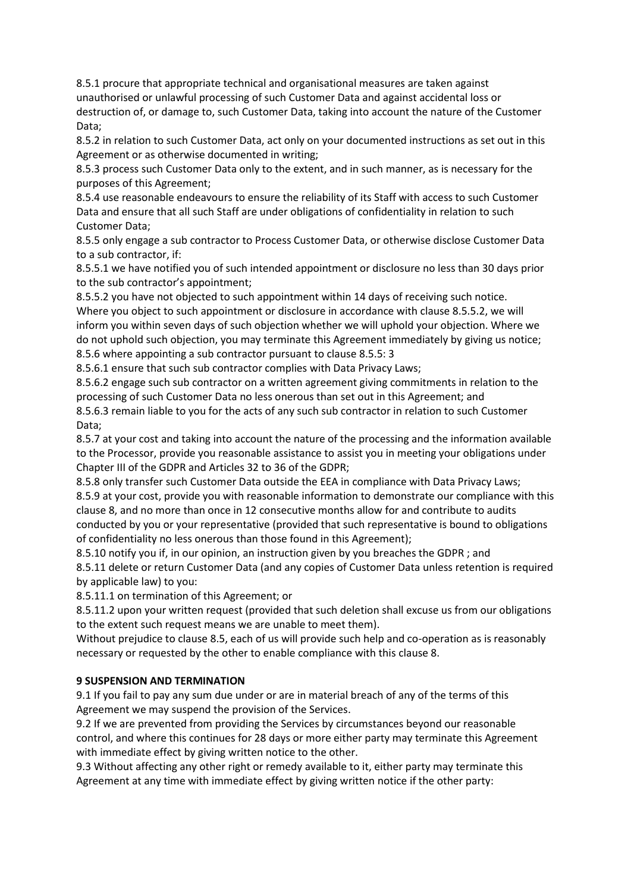8.5.1 procure that appropriate technical and organisational measures are taken against unauthorised or unlawful processing of such Customer Data and against accidental loss or destruction of, or damage to, such Customer Data, taking into account the nature of the Customer Data;

8.5.2 in relation to such Customer Data, act only on your documented instructions as set out in this Agreement or as otherwise documented in writing;

8.5.3 process such Customer Data only to the extent, and in such manner, as is necessary for the purposes of this Agreement;

8.5.4 use reasonable endeavours to ensure the reliability of its Staff with access to such Customer Data and ensure that all such Staff are under obligations of confidentiality in relation to such Customer Data;

8.5.5 only engage a sub contractor to Process Customer Data, or otherwise disclose Customer Data to a sub contractor, if:

8.5.5.1 we have notified you of such intended appointment or disclosure no less than 30 days prior to the sub contractor's appointment;

8.5.5.2 you have not objected to such appointment within 14 days of receiving such notice. Where you object to such appointment or disclosure in accordance with clause 8.5.5.2, we will inform you within seven days of such objection whether we will uphold your objection. Where we do not uphold such objection, you may terminate this Agreement immediately by giving us notice; 8.5.6 where appointing a sub contractor pursuant to clause 8.5.5: 3

8.5.6.1 ensure that such sub contractor complies with Data Privacy Laws;

8.5.6.2 engage such sub contractor on a written agreement giving commitments in relation to the processing of such Customer Data no less onerous than set out in this Agreement; and 8.5.6.3 remain liable to you for the acts of any such sub contractor in relation to such Customer

Data;

8.5.7 at your cost and taking into account the nature of the processing and the information available to the Processor, provide you reasonable assistance to assist you in meeting your obligations under Chapter III of the GDPR and Articles 32 to 36 of the GDPR;

8.5.8 only transfer such Customer Data outside the EEA in compliance with Data Privacy Laws; 8.5.9 at your cost, provide you with reasonable information to demonstrate our compliance with this clause 8, and no more than once in 12 consecutive months allow for and contribute to audits conducted by you or your representative (provided that such representative is bound to obligations of confidentiality no less onerous than those found in this Agreement);

8.5.10 notify you if, in our opinion, an instruction given by you breaches the GDPR ; and

8.5.11 delete or return Customer Data (and any copies of Customer Data unless retention is required by applicable law) to you:

8.5.11.1 on termination of this Agreement; or

8.5.11.2 upon your written request (provided that such deletion shall excuse us from our obligations to the extent such request means we are unable to meet them).

Without prejudice to clause 8.5, each of us will provide such help and co-operation as is reasonably necessary or requested by the other to enable compliance with this clause 8.

## **9 SUSPENSION AND TERMINATION**

9.1 If you fail to pay any sum due under or are in material breach of any of the terms of this Agreement we may suspend the provision of the Services.

9.2 If we are prevented from providing the Services by circumstances beyond our reasonable control, and where this continues for 28 days or more either party may terminate this Agreement with immediate effect by giving written notice to the other.

9.3 Without affecting any other right or remedy available to it, either party may terminate this Agreement at any time with immediate effect by giving written notice if the other party: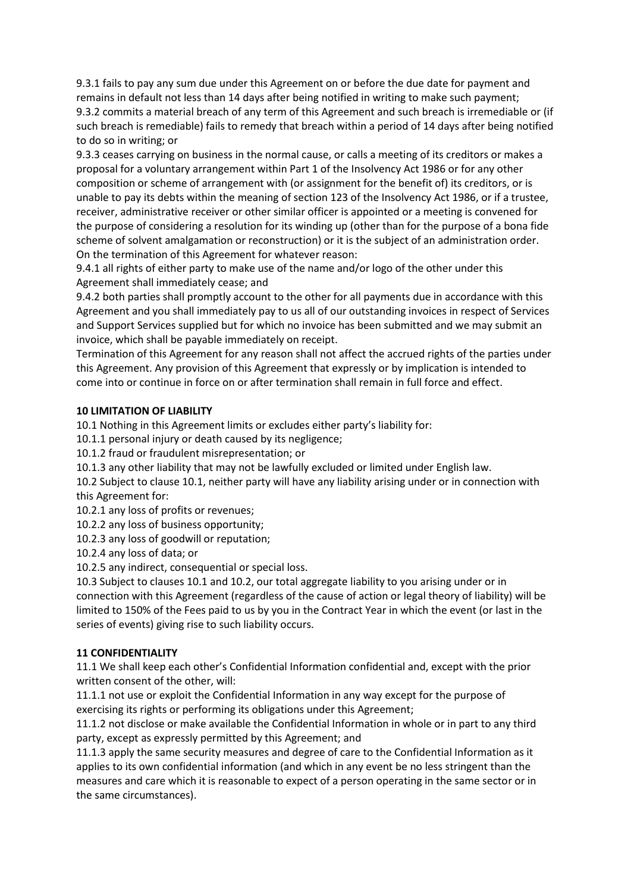9.3.1 fails to pay any sum due under this Agreement on or before the due date for payment and remains in default not less than 14 days after being notified in writing to make such payment; 9.3.2 commits a material breach of any term of this Agreement and such breach is irremediable or (if such breach is remediable) fails to remedy that breach within a period of 14 days after being notified to do so in writing; or

9.3.3 ceases carrying on business in the normal cause, or calls a meeting of its creditors or makes a proposal for a voluntary arrangement within Part 1 of the Insolvency Act 1986 or for any other composition or scheme of arrangement with (or assignment for the benefit of) its creditors, or is unable to pay its debts within the meaning of section 123 of the Insolvency Act 1986, or if a trustee, receiver, administrative receiver or other similar officer is appointed or a meeting is convened for the purpose of considering a resolution for its winding up (other than for the purpose of a bona fide scheme of solvent amalgamation or reconstruction) or it is the subject of an administration order. On the termination of this Agreement for whatever reason:

9.4.1 all rights of either party to make use of the name and/or logo of the other under this Agreement shall immediately cease; and

9.4.2 both parties shall promptly account to the other for all payments due in accordance with this Agreement and you shall immediately pay to us all of our outstanding invoices in respect of Services and Support Services supplied but for which no invoice has been submitted and we may submit an invoice, which shall be payable immediately on receipt.

Termination of this Agreement for any reason shall not affect the accrued rights of the parties under this Agreement. Any provision of this Agreement that expressly or by implication is intended to come into or continue in force on or after termination shall remain in full force and effect.

### **10 LIMITATION OF LIABILITY**

10.1 Nothing in this Agreement limits or excludes either party's liability for:

10.1.1 personal injury or death caused by its negligence;

10.1.2 fraud or fraudulent misrepresentation; or

10.1.3 any other liability that may not be lawfully excluded or limited under English law.

10.2 Subject to clause 10.1, neither party will have any liability arising under or in connection with this Agreement for:

10.2.1 any loss of profits or revenues;

10.2.2 any loss of business opportunity;

10.2.3 any loss of goodwill or reputation;

10.2.4 any loss of data; or

10.2.5 any indirect, consequential or special loss.

10.3 Subject to clauses 10.1 and 10.2, our total aggregate liability to you arising under or in connection with this Agreement (regardless of the cause of action or legal theory of liability) will be limited to 150% of the Fees paid to us by you in the Contract Year in which the event (or last in the series of events) giving rise to such liability occurs.

## **11 CONFIDENTIALITY**

11.1 We shall keep each other's Confidential Information confidential and, except with the prior written consent of the other, will:

11.1.1 not use or exploit the Confidential Information in any way except for the purpose of exercising its rights or performing its obligations under this Agreement;

11.1.2 not disclose or make available the Confidential Information in whole or in part to any third party, except as expressly permitted by this Agreement; and

11.1.3 apply the same security measures and degree of care to the Confidential Information as it applies to its own confidential information (and which in any event be no less stringent than the measures and care which it is reasonable to expect of a person operating in the same sector or in the same circumstances).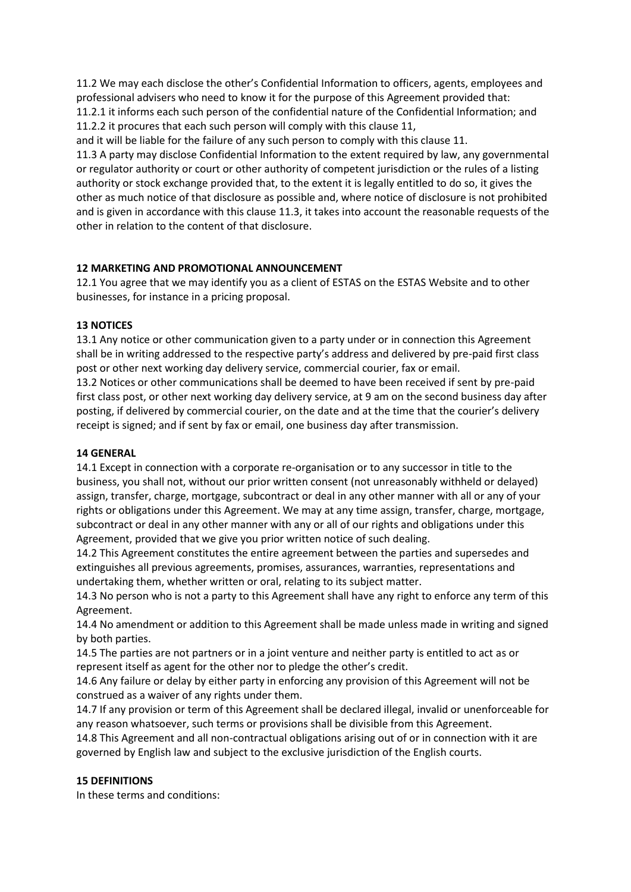11.2 We may each disclose the other's Confidential Information to officers, agents, employees and professional advisers who need to know it for the purpose of this Agreement provided that: 11.2.1 it informs each such person of the confidential nature of the Confidential Information; and 11.2.2 it procures that each such person will comply with this clause 11,

and it will be liable for the failure of any such person to comply with this clause 11.

11.3 A party may disclose Confidential Information to the extent required by law, any governmental or regulator authority or court or other authority of competent jurisdiction or the rules of a listing authority or stock exchange provided that, to the extent it is legally entitled to do so, it gives the other as much notice of that disclosure as possible and, where notice of disclosure is not prohibited and is given in accordance with this clause 11.3, it takes into account the reasonable requests of the other in relation to the content of that disclosure.

## **12 MARKETING AND PROMOTIONAL ANNOUNCEMENT**

12.1 You agree that we may identify you as a client of ESTAS on the ESTAS Website and to other businesses, for instance in a pricing proposal.

### **13 NOTICES**

13.1 Any notice or other communication given to a party under or in connection this Agreement shall be in writing addressed to the respective party's address and delivered by pre-paid first class post or other next working day delivery service, commercial courier, fax or email.

13.2 Notices or other communications shall be deemed to have been received if sent by pre-paid first class post, or other next working day delivery service, at 9 am on the second business day after posting, if delivered by commercial courier, on the date and at the time that the courier's delivery receipt is signed; and if sent by fax or email, one business day after transmission.

## **14 GENERAL**

14.1 Except in connection with a corporate re-organisation or to any successor in title to the business, you shall not, without our prior written consent (not unreasonably withheld or delayed) assign, transfer, charge, mortgage, subcontract or deal in any other manner with all or any of your rights or obligations under this Agreement. We may at any time assign, transfer, charge, mortgage, subcontract or deal in any other manner with any or all of our rights and obligations under this Agreement, provided that we give you prior written notice of such dealing.

14.2 This Agreement constitutes the entire agreement between the parties and supersedes and extinguishes all previous agreements, promises, assurances, warranties, representations and undertaking them, whether written or oral, relating to its subject matter.

14.3 No person who is not a party to this Agreement shall have any right to enforce any term of this Agreement.

14.4 No amendment or addition to this Agreement shall be made unless made in writing and signed by both parties.

14.5 The parties are not partners or in a joint venture and neither party is entitled to act as or represent itself as agent for the other nor to pledge the other's credit.

14.6 Any failure or delay by either party in enforcing any provision of this Agreement will not be construed as a waiver of any rights under them.

14.7 If any provision or term of this Agreement shall be declared illegal, invalid or unenforceable for any reason whatsoever, such terms or provisions shall be divisible from this Agreement.

14.8 This Agreement and all non-contractual obligations arising out of or in connection with it are governed by English law and subject to the exclusive jurisdiction of the English courts.

## **15 DEFINITIONS**

In these terms and conditions: